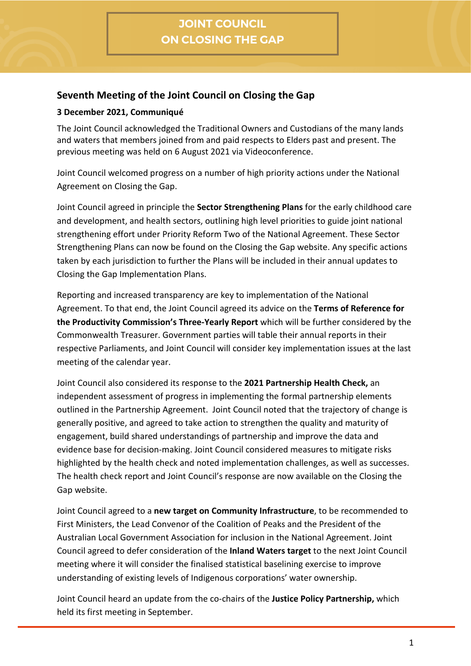## **Seventh Meeting of the Joint Council on Closing the Gap**

## **3 December 2021, Communiqué**

The Joint Council acknowledged the Traditional Owners and Custodians of the many lands and waters that members joined from and paid respects to Elders past and present. The previous meeting was held on 6 August 2021 via Videoconference.

Joint Council welcomed progress on a number of high priority actions under the National Agreement on Closing the Gap.

Joint Council agreed in principle the **Sector Strengthening Plans** for the early childhood care and development, and health sectors, outlining high level priorities to guide joint national strengthening effort under Priority Reform Two of the National Agreement. These Sector Strengthening Plans can now be found on the Closing the Gap website. Any specific actions taken by each jurisdiction to further the Plans will be included in their annual updates to Closing the Gap Implementation Plans.

Reporting and increased transparency are key to implementation of the National Agreement. To that end, the Joint Council agreed its advice on the **Terms of Reference for the Productivity Commission's Three-Yearly Report** which will be further considered by the Commonwealth Treasurer. Government parties will table their annual reports in their respective Parliaments, and Joint Council will consider key implementation issues at the last meeting of the calendar year.

Joint Council also considered its response to the **2021 Partnership Health Check,** an independent assessment of progress in implementing the formal partnership elements outlined in the Partnership Agreement. Joint Council noted that the trajectory of change is generally positive, and agreed to take action to strengthen the quality and maturity of engagement, build shared understandings of partnership and improve the data and evidence base for decision-making. Joint Council considered measures to mitigate risks highlighted by the health check and noted implementation challenges, as well as successes. The health check report and Joint Council's response are now available on the Closing the Gap website.

Joint Council agreed to a **new target on Community Infrastructure**, to be recommended to First Ministers, the Lead Convenor of the Coalition of Peaks and the President of the Australian Local Government Association for inclusion in the National Agreement. Joint Council agreed to defer consideration of the **Inland Waters target** to the next Joint Council meeting where it will consider the finalised statistical baselining exercise to improve understanding of existing levels of Indigenous corporations' water ownership.

Joint Council heard an update from the co-chairs of the **Justice Policy Partnership,** which held its first meeting in September.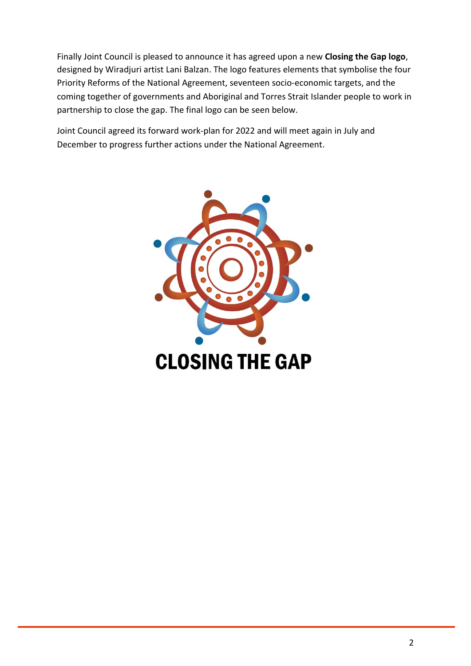Finally Joint Council is pleased to announce it has agreed upon a new **Closing the Gap logo**, designed by Wiradjuri artist Lani Balzan. The logo features elements that symbolise the four Priority Reforms of the National Agreement, seventeen socio-economic targets, and the coming together of governments and Aboriginal and Torres Strait Islander people to work in partnership to close the gap. The final logo can be seen below.

Joint Council agreed its forward work-plan for 2022 and will meet again in July and December to progress further actions under the National Agreement.